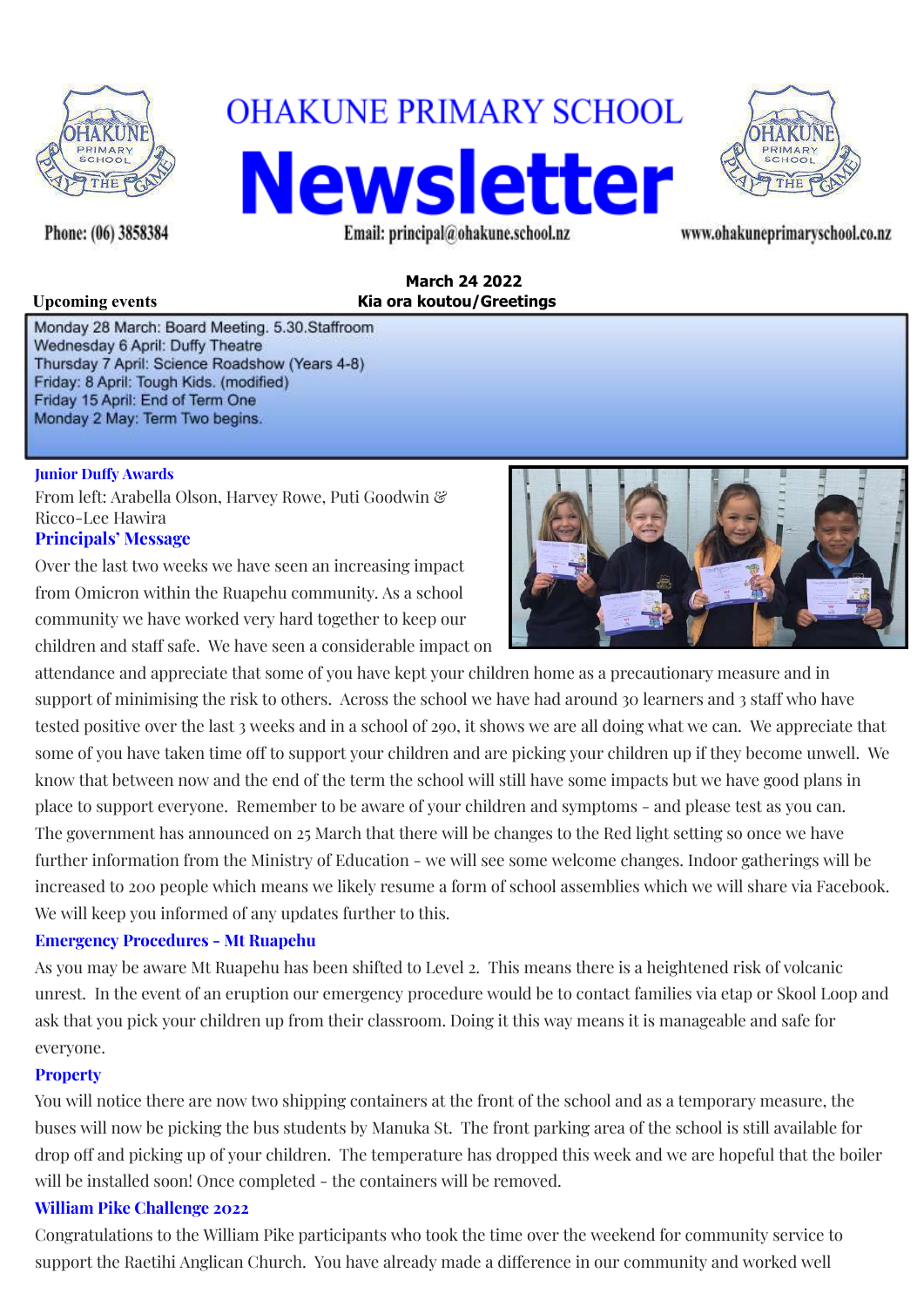

**OHAKUNE PRIMARY SCHOOL Newsletter** Email: principal@ohakune.school.nz www.ohakuneprimaryschool.co.nz



Phone: (06) 3858384

### **March 24 2022 Upcoming events Kia ora koutou/Greetings**

Monday 28 March: Board Meeting. 5.30.Staffroom Wednesday 6 April: Duffy Theatre Thursday 7 April: Science Roadshow (Years 4-8) Friday: 8 April: Tough Kids. (modified) Friday 15 April: End of Term One Monday 2 May: Term Two begins.

#### **Junior Duffy Awards**

From left: Arabella Olson, Harvey Rowe, Puti Goodwin & Ricco-Lee Hawira **Principals' Message**

Over the last two weeks we have seen an increasing impact from Omicron within the Ruapehu community. As a school community we have worked very hard together to keep our children and staff safe. We have seen a considerable impact on



attendance and appreciate that some of you have kept your children home as a precautionary measure and in support of minimising the risk to others. Across the school we have had around 30 learners and 3 staff who have tested positive over the last 3 weeks and in a school of 290, it shows we are all doing what we can. We appreciate that some of you have taken time off to support your children and are picking your children up if they become unwell. We know that between now and the end of the term the school will still have some impacts but we have good plans in place to support everyone. Remember to be aware of your children and symptoms - and please test as you can. The government has announced on 25 March that there will be changes to the Red light setting so once we have further information from the Ministry of Education - we will see some welcome changes. Indoor gatherings will be increased to 200 people which means we likely resume a form of school assemblies which we will share via Facebook. We will keep you informed of any updates further to this.

# **Emergency Procedures - Mt Ruapehu**

As you may be aware Mt Ruapehu has been shifted to Level 2. This means there is a heightened risk of volcanic unrest. In the event of an eruption our emergency procedure would be to contact families via etap or Skool Loop and ask that you pick your children up from their classroom. Doing it this way means it is manageable and safe for everyone.

### **Property**

You will notice there are now two shipping containers at the front of the school and as a temporary measure, the buses will now be picking the bus students by Manuka St. The front parking area of the school is still available for drop off and picking up of your children. The temperature has dropped this week and we are hopeful that the boiler will be installed soon! Once completed - the containers will be removed.

### **William Pike Challenge 2022**

Congratulations to the William Pike participants who took the time over the weekend for community service to support the Raetihi Anglican Church. You have already made a difference in our community and worked well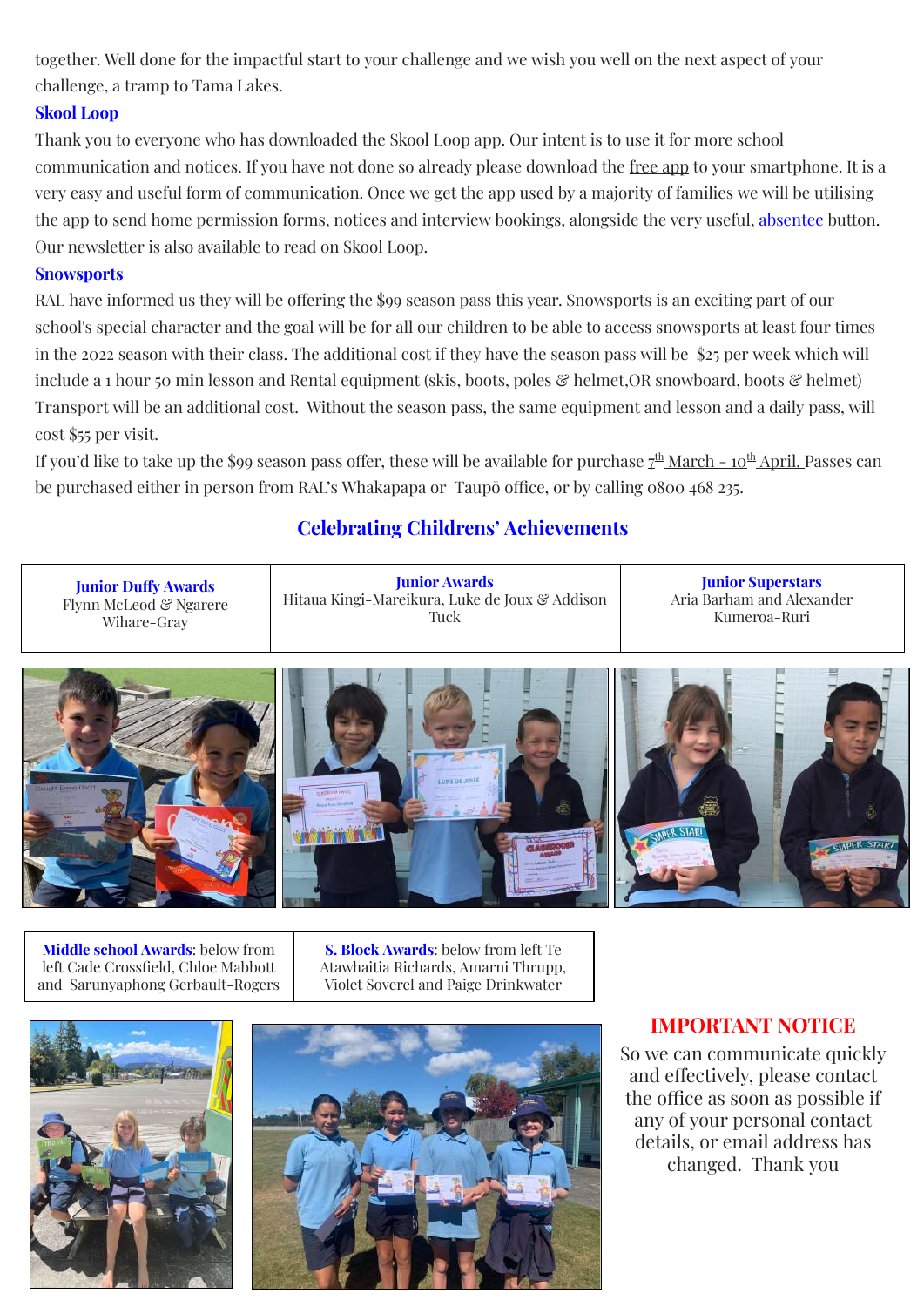together. Well done for the impactful start to your challenge and we wish you well on the next aspect of your challenge, a tramp to Tama Lakes.

### **Skool Loop**

Thank you to everyone who has downloaded the Skool Loop app. Our intent is to use it for more school communication and notices. If you have not done so already please download the free app to your smartphone. It is a very easy and useful form of communication. Once we get the app used by a majority of families we will be utilising the app to send home permission forms, notices and interview bookings, alongside the very useful, absentee button. Our newsletter is also available to read on Skool Loop.

#### **Snowsports**

RAL have informed us they will be offering the \$99 season pass this year. Snowsports is an exciting part of our school's special character and the goal will be for all our children to be able to access snowsports at least four times in the 2022 season with their class. The additional cost if they have the season pass will be \$25 per week which will include a 1 hour 50 min lesson and Rental equipment (skis, boots, poles & helmet, OR snowboard, boots & helmet) Transport will be an additional cost. Without the season pass, the same equipment and lesson and a daily pass, will cost \$55 per visit.

If you'd like to take up the \$99 season pass offer, these will be available for purchase <u>7<sup>th</sup> March - 10<sup>th</sup> April.</u> Passes can be purchased either in person from RAL's Whakapapa or Taupō office, or by calling 0800 468 235.

# **Celebrating Childrens' Achievements**

| <b>Junior Duffy Awards</b> | <b>Junior Awards</b>                           | <b>Junior Superstars</b>  |
|----------------------------|------------------------------------------------|---------------------------|
| Flynn McLeod & Ngarere     | Hitaua Kingi-Mareikura, Luke de Joux & Addison | Aria Barham and Alexander |
| Wihare-Gray                | Tuck                                           | Kumeroa-Ruri              |
|                            |                                                |                           |



**Middle school Awards**: below from left Cade Crossfield, Chloe Mabbott and Sarunyaphong Gerbault-Rogers

**S. Block Awards**: below from left Te Atawhaitia Richards, Amarni Thrupp, Violet Soverel and Paige Drinkwater





# **IMPORTANT NOTICE**

So we can communicate quickly and effectively, please contact the office as soon as possible if any of your personal contact details, or email address has changed. Thank you